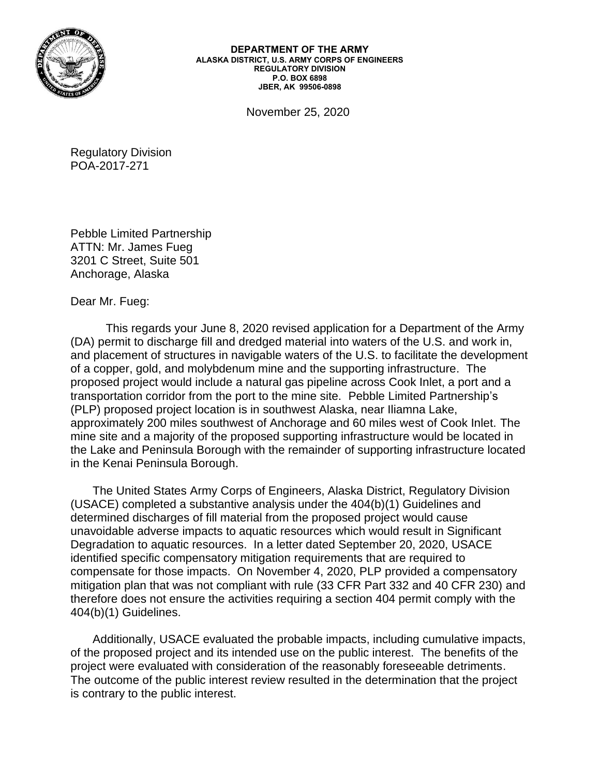

**DEPARTMENT OF THE ARMY ALASKA DISTRICT, U.S. ARMY CORPS OF ENGINEERS REGULATORY DIVISION P.O. BOX 6898 JBER, AK 99506-0898**

November 25, 2020

Regulatory Division POA-2017-271

Pebble Limited Partnership ATTN: Mr. James Fueg 3201 C Street, Suite 501 Anchorage, Alaska

Dear Mr. Fueg:

This regards your June 8, 2020 revised application for a Department of the Army (DA) permit to discharge fill and dredged material into waters of the U.S. and work in, and placement of structures in navigable waters of the U.S. to facilitate the development of a copper, gold, and molybdenum mine and the supporting infrastructure. The proposed project would include a natural gas pipeline across Cook Inlet, a port and a transportation corridor from the port to the mine site. Pebble Limited Partnership's (PLP) proposed project location is in southwest Alaska, near Iliamna Lake, approximately 200 miles southwest of Anchorage and 60 miles west of Cook Inlet. The mine site and a majority of the proposed supporting infrastructure would be located in the Lake and Peninsula Borough with the remainder of supporting infrastructure located in the Kenai Peninsula Borough.

The United States Army Corps of Engineers, Alaska District, Regulatory Division (USACE) completed a substantive analysis under the 404(b)(1) Guidelines and determined discharges of fill material from the proposed project would cause unavoidable adverse impacts to aquatic resources which would result in Significant Degradation to aquatic resources. In a letter dated September 20, 2020, USACE identified specific compensatory mitigation requirements that are required to compensate for those impacts. On November 4, 2020, PLP provided a compensatory mitigation plan that was not compliant with rule (33 CFR Part 332 and 40 CFR 230) and therefore does not ensure the activities requiring a section 404 permit comply with the 404(b)(1) Guidelines.

Additionally, USACE evaluated the probable impacts, including cumulative impacts, of the proposed project and its intended use on the public interest. The benefits of the project were evaluated with consideration of the reasonably foreseeable detriments. The outcome of the public interest review resulted in the determination that the project is contrary to the public interest.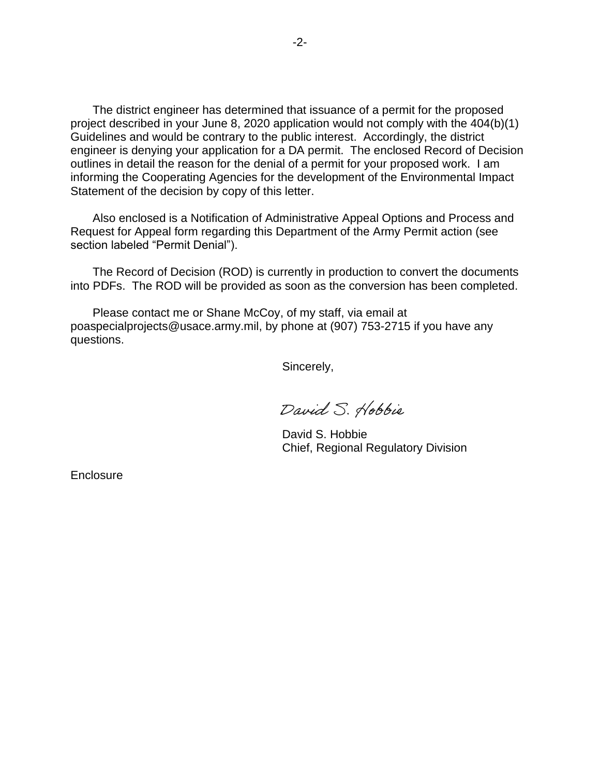The district engineer has determined that issuance of a permit for the proposed project described in your June 8, 2020 application would not comply with the 404(b)(1) Guidelines and would be contrary to the public interest. Accordingly, the district engineer is denying your application for a DA permit. The enclosed Record of Decision outlines in detail the reason for the denial of a permit for your proposed work. I am informing the Cooperating Agencies for the development of the Environmental Impact Statement of the decision by copy of this letter.

Also enclosed is a Notification of Administrative Appeal Options and Process and Request for Appeal form regarding this Department of the Army Permit action (see section labeled "Permit Denial").

The Record of Decision (ROD) is currently in production to convert the documents into PDFs. The ROD will be provided as soon as the conversion has been completed.

Please contact me or Shane McCoy, of my staff, via email at poaspecialprojects@usace.army.mil, by phone at (907) 753-2715 if you have any questions.

Sincerely,

David S. Hobbie

David S. Hobbie Chief, Regional Regulatory Division

**Enclosure**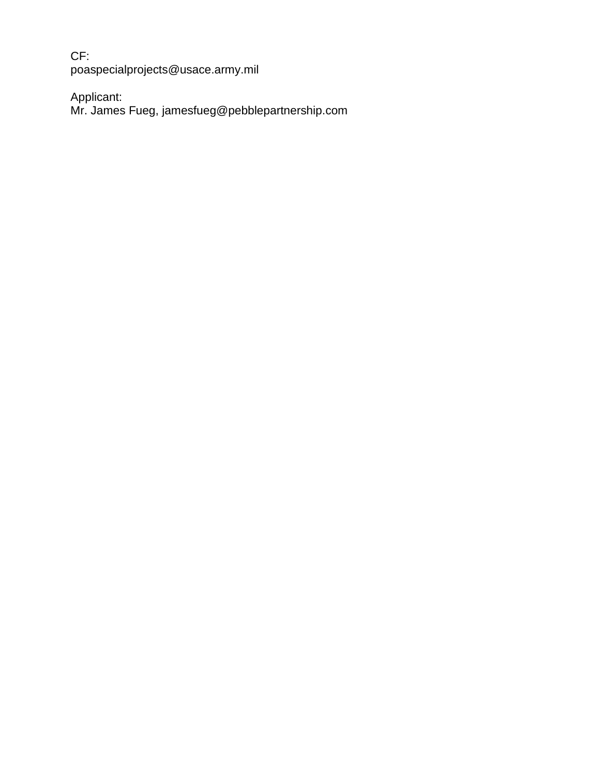CF: poaspecialprojects@usace.army.mil

Applicant:

Mr. James Fueg, jamesfueg@pebblepartnership.com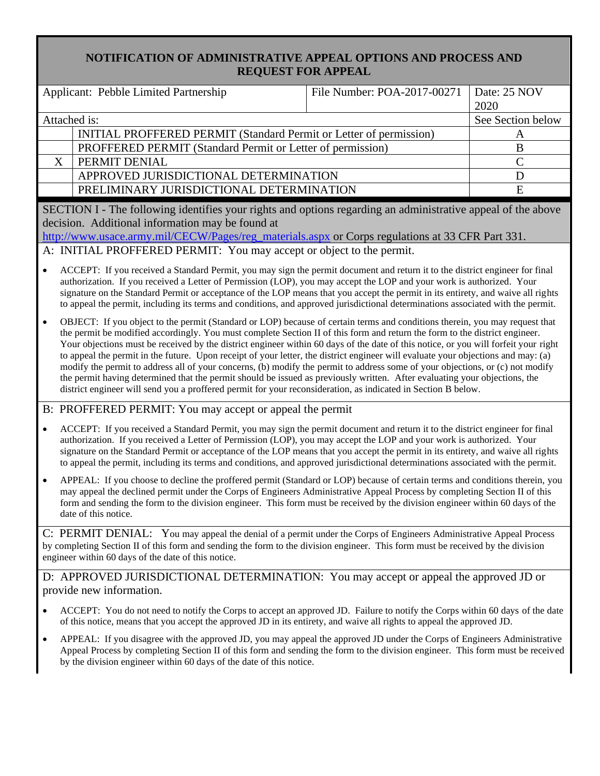## **NOTIFICATION OF ADMINISTRATIVE APPEAL OPTIONS AND PROCESS AND REQUEST FOR APPEAL**

|                                                                                                                                                                                                                                                                                                                   | Applicant: Pebble Limited Partnership                              | File Number: POA-2017-00271 | Date: 25 NOV |  |
|-------------------------------------------------------------------------------------------------------------------------------------------------------------------------------------------------------------------------------------------------------------------------------------------------------------------|--------------------------------------------------------------------|-----------------------------|--------------|--|
|                                                                                                                                                                                                                                                                                                                   |                                                                    |                             | 2020         |  |
| Attached is:                                                                                                                                                                                                                                                                                                      |                                                                    | See Section below           |              |  |
|                                                                                                                                                                                                                                                                                                                   | INITIAL PROFFERED PERMIT (Standard Permit or Letter of permission) |                             |              |  |
|                                                                                                                                                                                                                                                                                                                   | PROFFERED PERMIT (Standard Permit or Letter of permission)         |                             | B            |  |
|                                                                                                                                                                                                                                                                                                                   | PERMIT DENIAL                                                      |                             |              |  |
|                                                                                                                                                                                                                                                                                                                   | APPROVED JURISDICTIONAL DETERMINATION                              |                             |              |  |
|                                                                                                                                                                                                                                                                                                                   | PRELIMINARY JURISDICTIONAL DETERMINATION                           |                             |              |  |
|                                                                                                                                                                                                                                                                                                                   |                                                                    |                             |              |  |
| $\mathcal{A}$ and $\mathcal{A}$ and $\mathcal{A}$ and $\mathcal{A}$ and $\mathcal{A}$ and $\mathcal{A}$ and $\mathcal{A}$ and $\mathcal{A}$ and $\mathcal{A}$ and $\mathcal{A}$ and $\mathcal{A}$ and $\mathcal{A}$ and $\mathcal{A}$ and $\mathcal{A}$ and $\mathcal{A}$ and $\mathcal{A}$ and $\mathcal{A}$ and |                                                                    |                             |              |  |

SECTION I - The following identifies your rights and options regarding an administrative appeal of the above decision. Additional information may be found at

[http://www.usace.army.mil/CECW/Pages/reg\\_materials.aspx](http://www.usace.army.mil/CECW/Pages/reg_materials.aspx) or Corps regulations at 33 CFR Part 331

A: INITIAL PROFFERED PERMIT: You may accept or object to the permit.

- ACCEPT: If you received a Standard Permit, you may sign the permit document and return it to the district engineer for final authorization. If you received a Letter of Permission (LOP), you may accept the LOP and your work is authorized. Your signature on the Standard Permit or acceptance of the LOP means that you accept the permit in its entirety, and waive all rights to appeal the permit, including its terms and conditions, and approved jurisdictional determinations associated with the permit.
- OBJECT: If you object to the permit (Standard or LOP) because of certain terms and conditions therein, you may request that the permit be modified accordingly. You must complete Section II of this form and return the form to the district engineer. Your objections must be received by the district engineer within 60 days of the date of this notice, or you will forfeit your right to appeal the permit in the future. Upon receipt of your letter, the district engineer will evaluate your objections and may: (a) modify the permit to address all of your concerns, (b) modify the permit to address some of your objections, or (c) not modify the permit having determined that the permit should be issued as previously written. After evaluating your objections, the district engineer will send you a proffered permit for your reconsideration, as indicated in Section B below.

## B: PROFFERED PERMIT: You may accept or appeal the permit

- ACCEPT: If you received a Standard Permit, you may sign the permit document and return it to the district engineer for final authorization. If you received a Letter of Permission (LOP), you may accept the LOP and your work is authorized. Your signature on the Standard Permit or acceptance of the LOP means that you accept the permit in its entirety, and waive all rights to appeal the permit, including its terms and conditions, and approved jurisdictional determinations associated with the permit.
- APPEAL: If you choose to decline the proffered permit (Standard or LOP) because of certain terms and conditions therein, you may appeal the declined permit under the Corps of Engineers Administrative Appeal Process by completing Section II of this form and sending the form to the division engineer. This form must be received by the division engineer within 60 days of the date of this notice.

C: PERMIT DENIAL: You may appeal the denial of a permit under the Corps of Engineers Administrative Appeal Process by completing Section II of this form and sending the form to the division engineer. This form must be received by the division engineer within 60 days of the date of this notice.

D: APPROVED JURISDICTIONAL DETERMINATION: You may accept or appeal the approved JD or provide new information.

- ACCEPT: You do not need to notify the Corps to accept an approved JD. Failure to notify the Corps within 60 days of the date of this notice, means that you accept the approved JD in its entirety, and waive all rights to appeal the approved JD.
- APPEAL: If you disagree with the approved JD, you may appeal the approved JD under the Corps of Engineers Administrative Appeal Process by completing Section II of this form and sending the form to the division engineer. This form must be received by the division engineer within 60 days of the date of this notice.